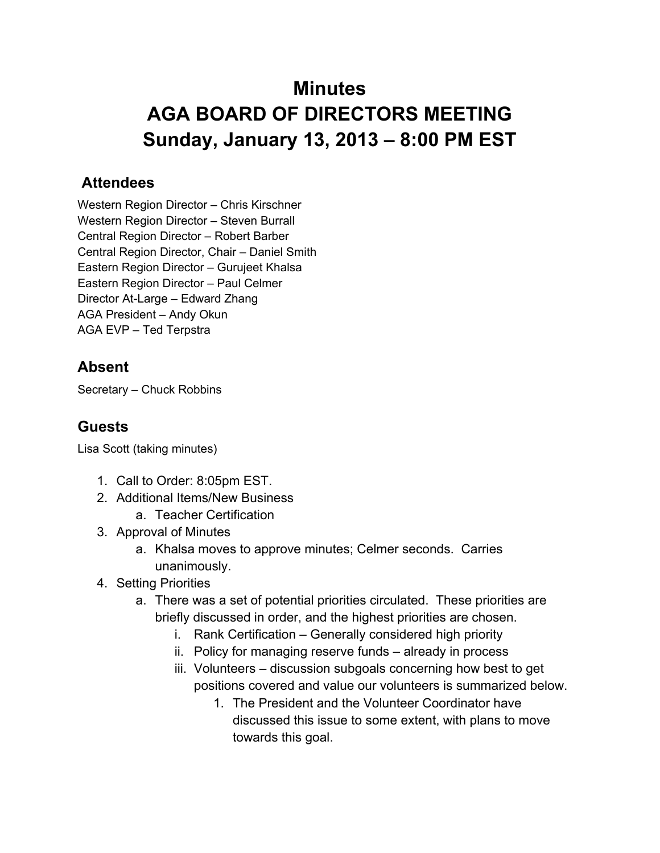## **Minutes AGA BOARD OF DIRECTORS MEETING Sunday, January 13, 2013 – 8:00 PM EST**

## **Attendees**

Western Region Director – Chris Kirschner Western Region Director – Steven Burrall Central Region Director – Robert Barber Central Region Director, Chair – Daniel Smith Eastern Region Director – Gurujeet Khalsa Eastern Region Director – Paul Celmer Director At-Large – Edward Zhang AGA President – Andy Okun AGA EVP – Ted Terpstra

## **Absent**

Secretary – Chuck Robbins

## **Guests**

Lisa Scott (taking minutes)

- 1. Call to Order: 8:05pm EST.
- 2. Additional Items/New Business
	- a. Teacher Certification
- 3. Approval of Minutes
	- a. Khalsa moves to approve minutes; Celmer seconds. Carries unanimously.
- 4. Setting Priorities
	- a. There was a set of potential priorities circulated. These priorities are briefly discussed in order, and the highest priorities are chosen.
		- i. Rank Certification Generally considered high priority
		- ii. Policy for managing reserve funds already in process
		- iii. Volunteers discussion subgoals concerning how best to get positions covered and value our volunteers is summarized below.
			- 1. The President and the Volunteer Coordinator have discussed this issue to some extent, with plans to move towards this goal.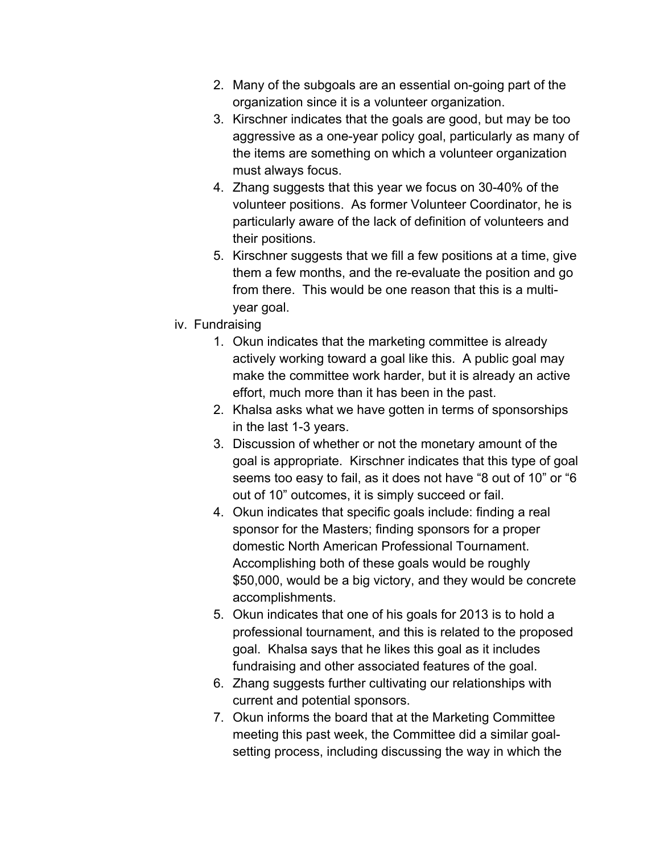- 2. Many of the subgoals are an essential on-going part of the organization since it is a volunteer organization.
- 3. Kirschner indicates that the goals are good, but may be too aggressive as a one-year policy goal, particularly as many of the items are something on which a volunteer organization must always focus.
- 4. Zhang suggests that this year we focus on 30-40% of the volunteer positions. As former Volunteer Coordinator, he is particularly aware of the lack of definition of volunteers and their positions.
- 5. Kirschner suggests that we fill a few positions at a time, give them a few months, and the re-evaluate the position and go from there. This would be one reason that this is a multiyear goal.
- iv. Fundraising
	- 1. Okun indicates that the marketing committee is already actively working toward a goal like this. A public goal may make the committee work harder, but it is already an active effort, much more than it has been in the past.
	- 2. Khalsa asks what we have gotten in terms of sponsorships in the last 1-3 years.
	- 3. Discussion of whether or not the monetary amount of the goal is appropriate. Kirschner indicates that this type of goal seems too easy to fail, as it does not have "8 out of 10" or "6 out of 10" outcomes, it is simply succeed or fail.
	- 4. Okun indicates that specific goals include: finding a real sponsor for the Masters; finding sponsors for a proper domestic North American Professional Tournament. Accomplishing both of these goals would be roughly \$50,000, would be a big victory, and they would be concrete accomplishments.
	- 5. Okun indicates that one of his goals for 2013 is to hold a professional tournament, and this is related to the proposed goal. Khalsa says that he likes this goal as it includes fundraising and other associated features of the goal.
	- 6. Zhang suggests further cultivating our relationships with current and potential sponsors.
	- 7. Okun informs the board that at the Marketing Committee meeting this past week, the Committee did a similar goalsetting process, including discussing the way in which the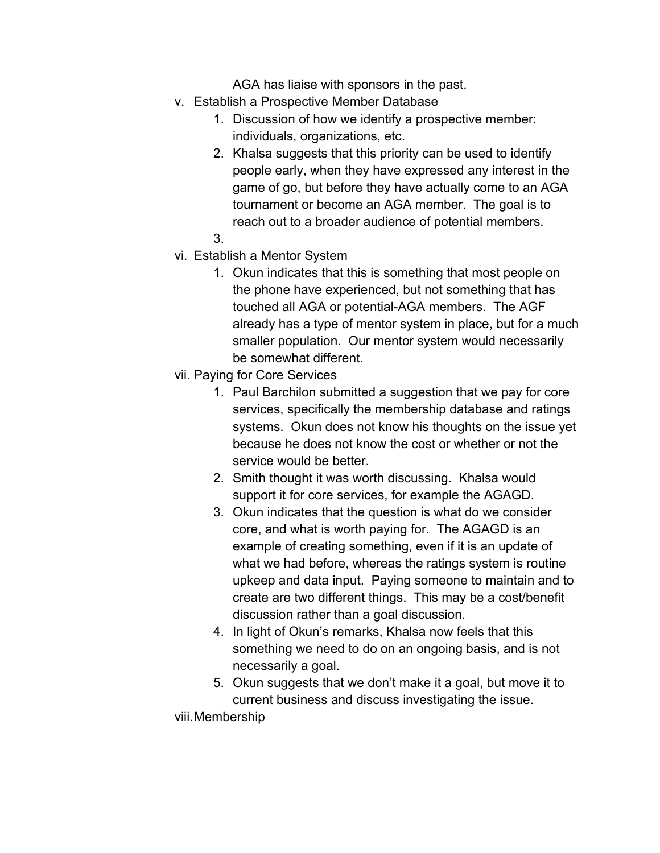AGA has liaise with sponsors in the past.

- v. Establish a Prospective Member Database
	- 1. Discussion of how we identify a prospective member: individuals, organizations, etc.
	- 2. Khalsa suggests that this priority can be used to identify people early, when they have expressed any interest in the game of go, but before they have actually come to an AGA tournament or become an AGA member. The goal is to reach out to a broader audience of potential members.
	- 3.
- vi. Establish a Mentor System
	- 1. Okun indicates that this is something that most people on the phone have experienced, but not something that has touched all AGA or potential-AGA members. The AGF already has a type of mentor system in place, but for a much smaller population. Our mentor system would necessarily be somewhat different.
- vii. Paying for Core Services
	- 1. Paul Barchilon submitted a suggestion that we pay for core services, specifically the membership database and ratings systems. Okun does not know his thoughts on the issue yet because he does not know the cost or whether or not the service would be better.
	- 2. Smith thought it was worth discussing. Khalsa would support it for core services, for example the AGAGD.
	- 3. Okun indicates that the question is what do we consider core, and what is worth paying for. The AGAGD is an example of creating something, even if it is an update of what we had before, whereas the ratings system is routine upkeep and data input. Paying someone to maintain and to create are two different things. This may be a cost/benefit discussion rather than a goal discussion.
	- 4. In light of Okun's remarks, Khalsa now feels that this something we need to do on an ongoing basis, and is not necessarily a goal.
	- 5. Okun suggests that we don't make it a goal, but move it to current business and discuss investigating the issue.

viii.Membership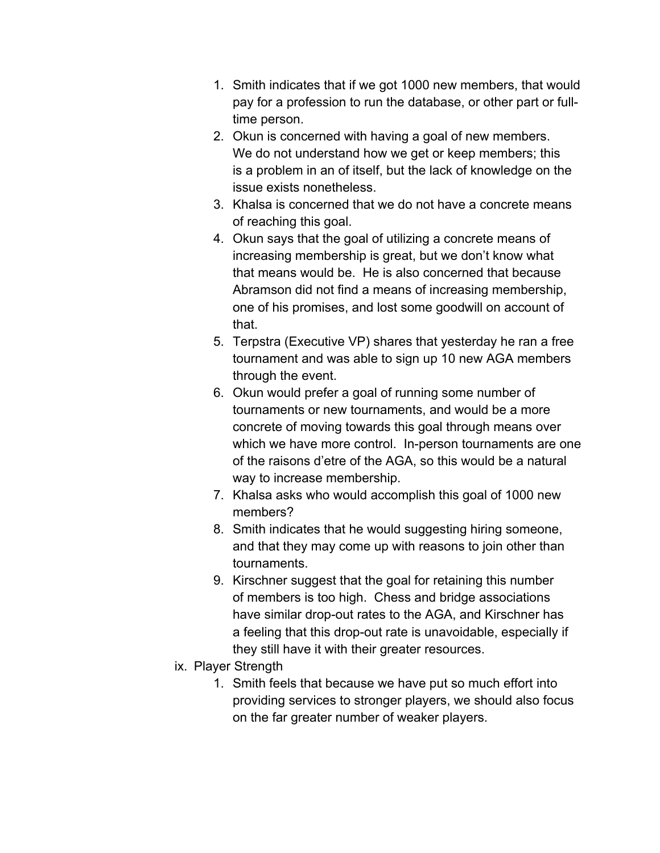- 1. Smith indicates that if we got 1000 new members, that would pay for a profession to run the database, or other part or fulltime person.
- 2. Okun is concerned with having a goal of new members. We do not understand how we get or keep members; this is a problem in an of itself, but the lack of knowledge on the issue exists nonetheless.
- 3. Khalsa is concerned that we do not have a concrete means of reaching this goal.
- 4. Okun says that the goal of utilizing a concrete means of increasing membership is great, but we don't know what that means would be. He is also concerned that because Abramson did not find a means of increasing membership, one of his promises, and lost some goodwill on account of that.
- 5. Terpstra (Executive VP) shares that yesterday he ran a free tournament and was able to sign up 10 new AGA members through the event.
- 6. Okun would prefer a goal of running some number of tournaments or new tournaments, and would be a more concrete of moving towards this goal through means over which we have more control. In-person tournaments are one of the raisons d'etre of the AGA, so this would be a natural way to increase membership.
- 7. Khalsa asks who would accomplish this goal of 1000 new members?
- 8. Smith indicates that he would suggesting hiring someone, and that they may come up with reasons to join other than tournaments.
- 9. Kirschner suggest that the goal for retaining this number of members is too high. Chess and bridge associations have similar drop-out rates to the AGA, and Kirschner has a feeling that this drop-out rate is unavoidable, especially if they still have it with their greater resources.
- ix. Player Strength
	- 1. Smith feels that because we have put so much effort into providing services to stronger players, we should also focus on the far greater number of weaker players.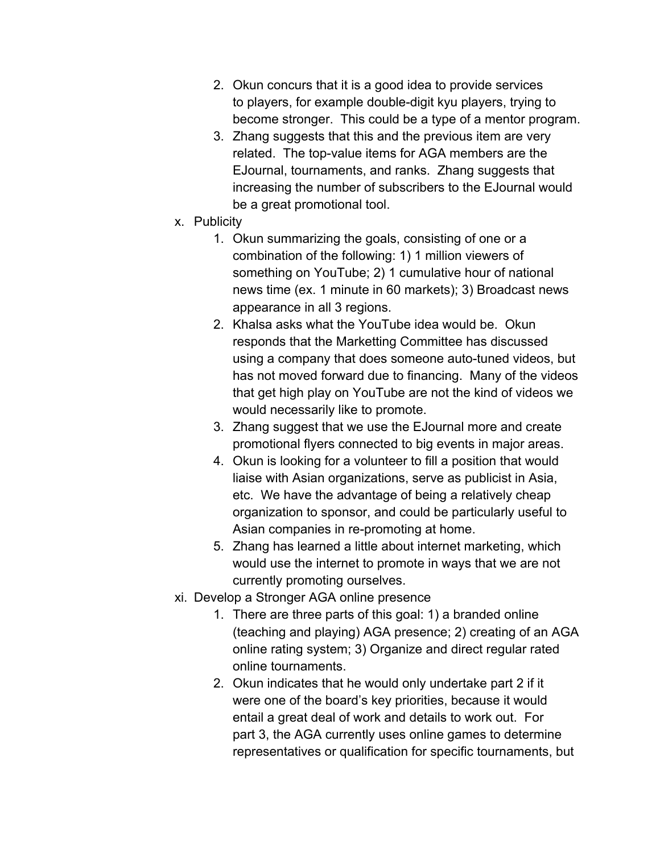- 2. Okun concurs that it is a good idea to provide services to players, for example double-digit kyu players, trying to become stronger. This could be a type of a mentor program.
- 3. Zhang suggests that this and the previous item are very related. The top-value items for AGA members are the EJournal, tournaments, and ranks. Zhang suggests that increasing the number of subscribers to the EJournal would be a great promotional tool.
- x. Publicity
	- 1. Okun summarizing the goals, consisting of one or a combination of the following: 1) 1 million viewers of something on YouTube; 2) 1 cumulative hour of national news time (ex. 1 minute in 60 markets); 3) Broadcast news appearance in all 3 regions.
	- 2. Khalsa asks what the YouTube idea would be. Okun responds that the Marketting Committee has discussed using a company that does someone auto-tuned videos, but has not moved forward due to financing. Many of the videos that get high play on YouTube are not the kind of videos we would necessarily like to promote.
	- 3. Zhang suggest that we use the EJournal more and create promotional flyers connected to big events in major areas.
	- 4. Okun is looking for a volunteer to fill a position that would liaise with Asian organizations, serve as publicist in Asia, etc. We have the advantage of being a relatively cheap organization to sponsor, and could be particularly useful to Asian companies in re-promoting at home.
	- 5. Zhang has learned a little about internet marketing, which would use the internet to promote in ways that we are not currently promoting ourselves.
- xi. Develop a Stronger AGA online presence
	- 1. There are three parts of this goal: 1) a branded online (teaching and playing) AGA presence; 2) creating of an AGA online rating system; 3) Organize and direct regular rated online tournaments.
	- 2. Okun indicates that he would only undertake part 2 if it were one of the board's key priorities, because it would entail a great deal of work and details to work out. For part 3, the AGA currently uses online games to determine representatives or qualification for specific tournaments, but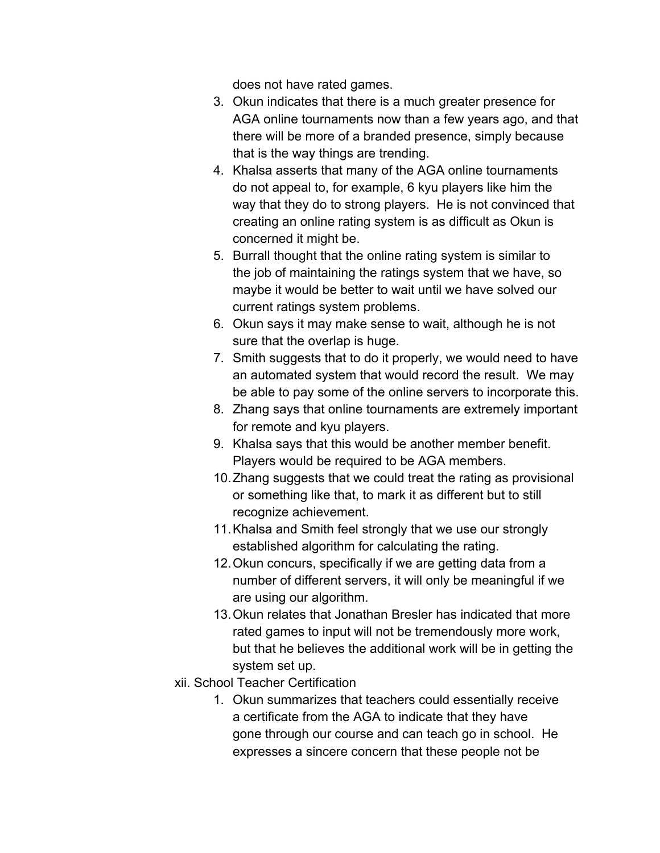does not have rated games.

- 3. Okun indicates that there is a much greater presence for AGA online tournaments now than a few years ago, and that there will be more of a branded presence, simply because that is the way things are trending.
- 4. Khalsa asserts that many of the AGA online tournaments do not appeal to, for example, 6 kyu players like him the way that they do to strong players. He is not convinced that creating an online rating system is as difficult as Okun is concerned it might be.
- 5. Burrall thought that the online rating system is similar to the job of maintaining the ratings system that we have, so maybe it would be better to wait until we have solved our current ratings system problems.
- 6. Okun says it may make sense to wait, although he is not sure that the overlap is huge.
- 7. Smith suggests that to do it properly, we would need to have an automated system that would record the result. We may be able to pay some of the online servers to incorporate this.
- 8. Zhang says that online tournaments are extremely important for remote and kyu players.
- 9. Khalsa says that this would be another member benefit. Players would be required to be AGA members.
- 10.Zhang suggests that we could treat the rating as provisional or something like that, to mark it as different but to still recognize achievement.
- 11.Khalsa and Smith feel strongly that we use our strongly established algorithm for calculating the rating.
- 12.Okun concurs, specifically if we are getting data from a number of different servers, it will only be meaningful if we are using our algorithm.
- 13.Okun relates that Jonathan Bresler has indicated that more rated games to input will not be tremendously more work, but that he believes the additional work will be in getting the system set up.
- xii. School Teacher Certification
	- 1. Okun summarizes that teachers could essentially receive a certificate from the AGA to indicate that they have gone through our course and can teach go in school. He expresses a sincere concern that these people not be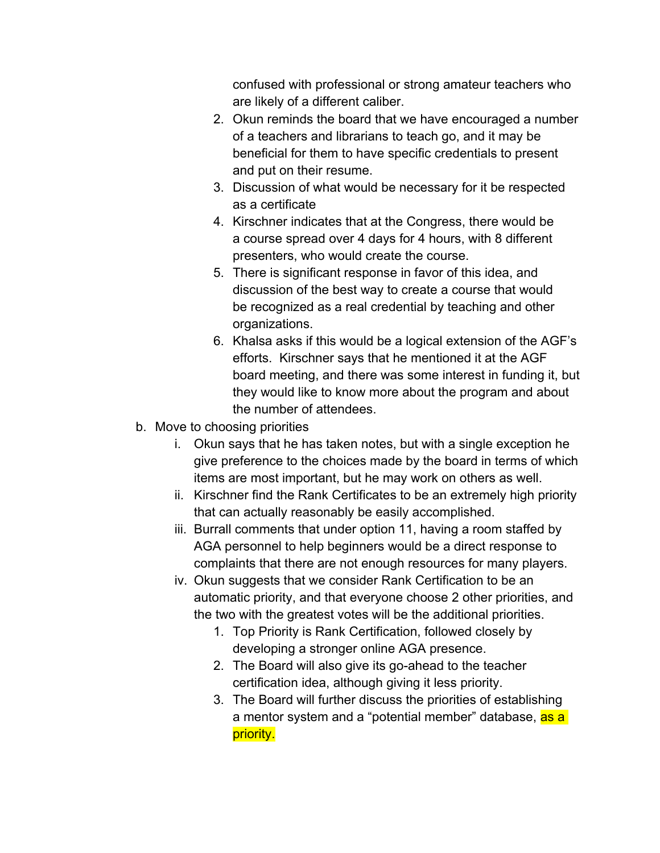confused with professional or strong amateur teachers who are likely of a different caliber.

- 2. Okun reminds the board that we have encouraged a number of a teachers and librarians to teach go, and it may be beneficial for them to have specific credentials to present and put on their resume.
- 3. Discussion of what would be necessary for it be respected as a certificate
- 4. Kirschner indicates that at the Congress, there would be a course spread over 4 days for 4 hours, with 8 different presenters, who would create the course.
- 5. There is significant response in favor of this idea, and discussion of the best way to create a course that would be recognized as a real credential by teaching and other organizations.
- 6. Khalsa asks if this would be a logical extension of the AGF's efforts. Kirschner says that he mentioned it at the AGF board meeting, and there was some interest in funding it, but they would like to know more about the program and about the number of attendees.
- b. Move to choosing priorities
	- i. Okun says that he has taken notes, but with a single exception he give preference to the choices made by the board in terms of which items are most important, but he may work on others as well.
	- ii. Kirschner find the Rank Certificates to be an extremely high priority that can actually reasonably be easily accomplished.
	- iii. Burrall comments that under option 11, having a room staffed by AGA personnel to help beginners would be a direct response to complaints that there are not enough resources for many players.
	- iv. Okun suggests that we consider Rank Certification to be an automatic priority, and that everyone choose 2 other priorities, and the two with the greatest votes will be the additional priorities.
		- 1. Top Priority is Rank Certification, followed closely by developing a stronger online AGA presence.
		- 2. The Board will also give its go-ahead to the teacher certification idea, although giving it less priority.
		- 3. The Board will further discuss the priorities of establishing a mentor system and a "potential member" database, as a priority.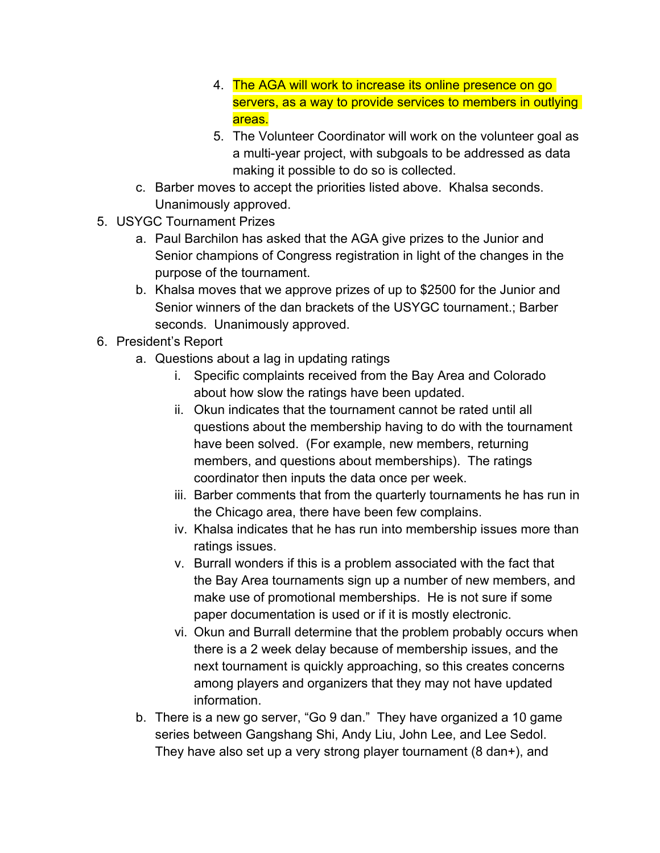- 4. The AGA will work to increase its online presence on go servers, as a way to provide services to members in outlying areas.
- 5. The Volunteer Coordinator will work on the volunteer goal as a multi-year project, with subgoals to be addressed as data making it possible to do so is collected.
- c. Barber moves to accept the priorities listed above. Khalsa seconds. Unanimously approved.
- 5. USYGC Tournament Prizes
	- a. Paul Barchilon has asked that the AGA give prizes to the Junior and Senior champions of Congress registration in light of the changes in the purpose of the tournament.
	- b. Khalsa moves that we approve prizes of up to \$2500 for the Junior and Senior winners of the dan brackets of the USYGC tournament.; Barber seconds. Unanimously approved.
- 6. President's Report
	- a. Questions about a lag in updating ratings
		- i. Specific complaints received from the Bay Area and Colorado about how slow the ratings have been updated.
		- ii. Okun indicates that the tournament cannot be rated until all questions about the membership having to do with the tournament have been solved. (For example, new members, returning members, and questions about memberships). The ratings coordinator then inputs the data once per week.
		- iii. Barber comments that from the quarterly tournaments he has run in the Chicago area, there have been few complains.
		- iv. Khalsa indicates that he has run into membership issues more than ratings issues.
		- v. Burrall wonders if this is a problem associated with the fact that the Bay Area tournaments sign up a number of new members, and make use of promotional memberships. He is not sure if some paper documentation is used or if it is mostly electronic.
		- vi. Okun and Burrall determine that the problem probably occurs when there is a 2 week delay because of membership issues, and the next tournament is quickly approaching, so this creates concerns among players and organizers that they may not have updated information.
	- b. There is a new go server, "Go 9 dan." They have organized a 10 game series between Gangshang Shi, Andy Liu, John Lee, and Lee Sedol. They have also set up a very strong player tournament (8 dan+), and